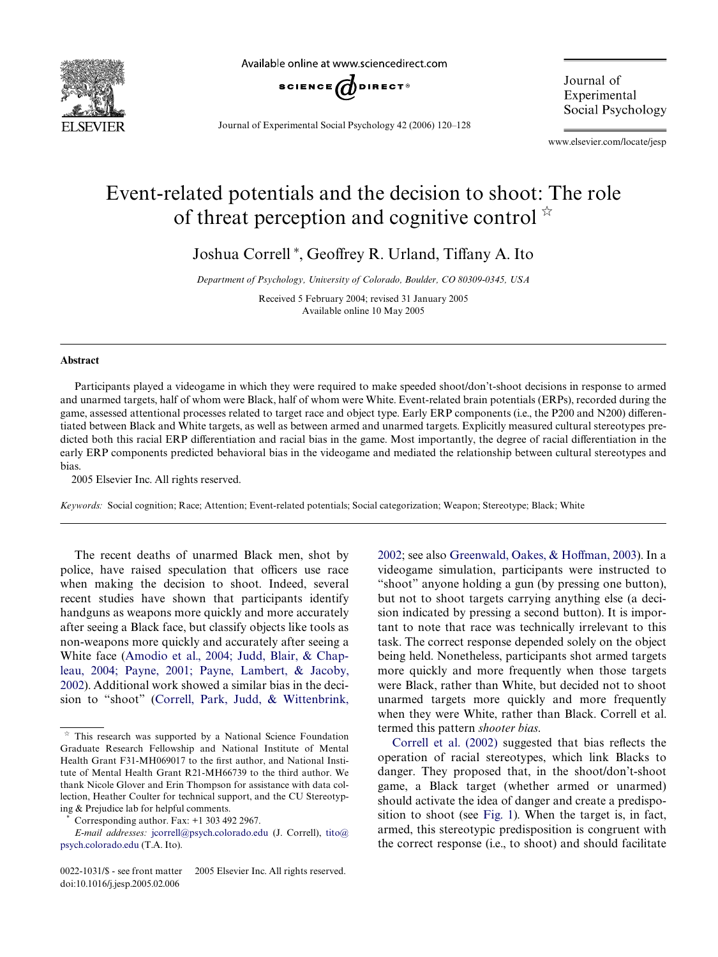

Available online at www.sciencedirect.com



Journal of Experimental Social Psychology 42 (2006) 120–128

Journal of Experimental Social Psychology

www.elsevier.com/locate/jesp

## Event-related potentials and the decision to shoot: The role of threat perception and cognitive control  $\dot{x}$

Joshua Correll<sup>\*</sup>, Geoffrey R. Urland, Tiffany A. Ito

*Department of Psychology, University of Colorado, Boulder, CO 80309-0345, USA*

Received 5 February 2004; revised 31 January 2005 Available online 10 May 2005

## **Abstract**

Participants played a videogame in which they were required to make speeded shoot/don't-shoot decisions in response to armed and unarmed targets, half of whom were Black, half of whom were White. Event-related brain potentials (ERPs), recorded during the game, assessed attentional processes related to target race and object type. Early ERP components (i.e., the P200 and N200) differentiated between Black and White targets, as well as between armed and unarmed targets. Explicitly measured cultural stereotypes predicted both this racial ERP differentiation and racial bias in the game. Most importantly, the degree of racial differentiation in the early ERP components predicted behavioral bias in the videogame and mediated the relationship between cultural stereotypes and bias.

2005 Elsevier Inc. All rights reserved.

*Keywords:* Social cognition; Race; Attention; Event-related potentials; Social categorization; Weapon; Stereotype; Black; White

The recent deaths of unarmed Black men, shot by police, have raised speculation that officers use race when making the decision to shoot. Indeed, several recent studies have shown that participants identify handguns as weapons more quickly and more accurately after seeing a Black face, but classify objects like tools as non-weapons more quickly and accurately after seeing a White face ([Amodio et al., 2004; Judd, Blair, & Chap](#page--1-0)[leau, 2004; Payne, 2001; Payne, Lambert, & Jacoby,](#page--1-0) [2002\)](#page--1-0). Additional work showed a similar bias in the decision to "shoot" ([Correll, Park, Judd, & Wittenbrink,](#page--1-1) [2002](#page--1-1); see also Greenwald, Oakes,  $& H$ off[man, 2003](#page--1-2)). In a videogame simulation, participants were instructed to "shoot" anyone holding a gun (by pressing one button), but not to shoot targets carrying anything else (a decision indicated by pressing a second button). It is important to note that race was technically irrelevant to this task. The correct response depended solely on the object being held. Nonetheless, participants shot armed targets more quickly and more frequently when those targets were Black, rather than White, but decided not to shoot unarmed targets more quickly and more frequently when they were White, rather than Black. Correll et al. termed this pattern *shooter bias*.

Correll et al.  $(2002)$  suggested that bias reflects the operation of racial stereotypes, which link Blacks to danger. They proposed that, in the shoot/don't-shoot game, a Black target (whether armed or unarmed) should activate the idea of danger and create a predisposition to shoot (see [Fig. 1\)](#page-1-0). When the target is, in fact, armed, this stereotypic predisposition is congruent with the correct response (i.e., to shoot) and should facilitate

 $*$  This research was supported by a National Science Foundation Graduate Research Fellowship and National Institute of Mental Health Grant F31-MH069017 to the first author, and National Institute of Mental Health Grant R21-MH66739 to the third author. We thank Nicole Glover and Erin Thompson for assistance with data collection, Heather Coulter for technical support, and the CU Stereotyping & Prejudice lab for helpful comments.

Corresponding author. Fax: +1 303 492 2967.

*E-mail addresses:* [jcorrell@psych.colorado.edu](mailto: jcorrell@psych.colorado.edu) (J. Correll), [tito@](mailto: tito@psych.colorado.edu) [psych.colorado.edu](mailto: tito@psych.colorado.edu) (T.A. Ito).

<sup>0022-1031/\$ -</sup> see front matter © 2005 Elsevier Inc. All rights reserved. doi:10.1016/j.jesp.2005.02.006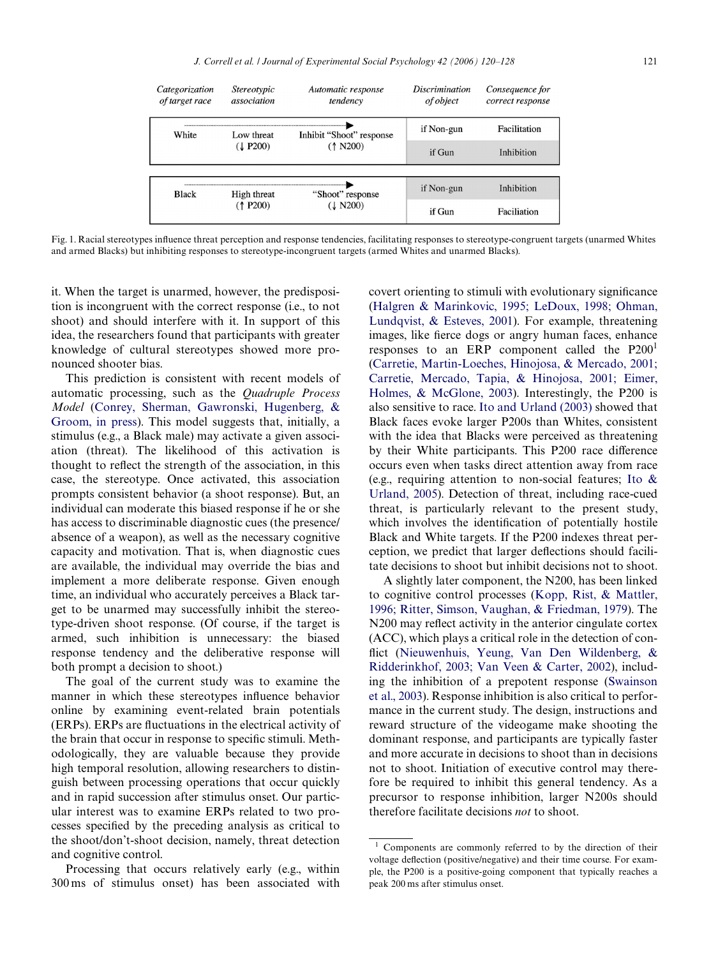| Categorization<br>of target race | <i>Stereotypic</i><br>association | Automatic response<br>tendency       | <i>Discrimination</i><br>of object | Consequence for<br>correct response |
|----------------------------------|-----------------------------------|--------------------------------------|------------------------------------|-------------------------------------|
| White                            | Low threat<br>(L P200)            | Inhibit "Shoot" response<br>(1 N200) | if Non-gun                         | Facilitation                        |
|                                  |                                   |                                      | if Gun                             | Inhibition                          |
|                                  |                                   |                                      |                                    |                                     |
| Black                            | High threat<br>$($ † P200)        | "Shoot" response<br>(1 N200)         | if Non-gun                         | Inhibition                          |
|                                  |                                   |                                      | if Gun                             | Faciliation                         |

<span id="page-1-0"></span>Fig. 1. Racial stereotypes influence threat perception and response tendencies, facilitating responses to stereotype-congruent targets (unarmed Whites and armed Blacks) but inhibiting responses to stereotype-incongruent targets (armed Whites and unarmed Blacks).

it. When the target is unarmed, however, the predisposition is incongruent with the correct response (i.e., to not shoot) and should interfere with it. In support of this idea, the researchers found that participants with greater knowledge of cultural stereotypes showed more pronounced shooter bias.

This prediction is consistent with recent models of automatic processing, such as the *Quadruple Process Model* [\(Conrey, Sherman, Gawronski, Hugenberg, &](#page--1-3) [Groom, in press\)](#page--1-3). This model suggests that, initially, a stimulus (e.g., a Black male) may activate a given association (threat). The likelihood of this activation is thought to reflect the strength of the association, in this case, the stereotype. Once activated, this association prompts consistent behavior (a shoot response). But, an individual can moderate this biased response if he or she has access to discriminable diagnostic cues (the presence/ absence of a weapon), as well as the necessary cognitive capacity and motivation. That is, when diagnostic cues are available, the individual may override the bias and implement a more deliberate response. Given enough time, an individual who accurately perceives a Black target to be unarmed may successfully inhibit the stereotype-driven shoot response. (Of course, if the target is armed, such inhibition is unnecessary: the biased response tendency and the deliberative response will both prompt a decision to shoot.)

The goal of the current study was to examine the manner in which these stereotypes influence behavior online by examining event-related brain potentials (ERPs). ERPs are fluctuations in the electrical activity of the brain that occur in response to specific stimuli. Methodologically, they are valuable because they provide high temporal resolution, allowing researchers to distinguish between processing operations that occur quickly and in rapid succession after stimulus onset. Our particular interest was to examine ERPs related to two processes specified by the preceding analysis as critical to the shoot/don't-shoot decision, namely, threat detection and cognitive control.

Processing that occurs relatively early (e.g., within 300 ms of stimulus onset) has been associated with

covert orienting to stimuli with evolutionary significance [\(Halgren & Marinkovic, 1995; LeDoux, 1998; Ohman,](#page--1-4) [Lundqvist, & Esteves, 2001\)](#page--1-4). For example, threatening images, like fierce dogs or angry human faces, enhance responses to an ERP component called the  $P200<sup>1</sup>$ [\(Carretie, Martin-Loeches, Hinojosa, & Mercado, 2001;](#page--1-5) [Carretie, Mercado, Tapia, & Hinojosa, 2001; Eimer,](#page--1-5) [Holmes, & McGlone, 2003](#page--1-5)). Interestingly, the P200 is also sensitive to race. [Ito and Urland \(2003\)](#page--1-6) showed that Black faces evoke larger P200s than Whites, consistent with the idea that Blacks were perceived as threatening by their White participants. This P200 race difference occurs even when tasks direct attention away from race (e.g., requiring attention to non-social features; [Ito &](#page--1-7) [Urland, 2005\)](#page--1-7). Detection of threat, including race-cued threat, is particularly relevant to the present study, which involves the identification of potentially hostile Black and White targets. If the P200 indexes threat perception, we predict that larger deflections should facilitate decisions to shoot but inhibit decisions not to shoot.

A slightly later component, the N200, has been linked to cognitive control processes ([Kopp, Rist, & Mattler,](#page--1-8) [1996; Ritter, Simson, Vaughan, & Friedman, 1979](#page--1-8)). The N200 may reflect activity in the anterior cingulate cortex (ACC), which plays a critical role in the detection of con-flict [\(Nieuwenhuis, Yeung, Van Den Wildenberg, &](#page--1-9) [Ridderinkhof, 2003; Van Veen & Carter, 2002\)](#page--1-9), including the inhibition of a prepotent response ([Swainson](#page--1-10) [et al., 2003](#page--1-10)). Response inhibition is also critical to performance in the current study. The design, instructions and reward structure of the videogame make shooting the dominant response, and participants are typically faster and more accurate in decisions to shoot than in decisions not to shoot. Initiation of executive control may therefore be required to inhibit this general tendency. As a precursor to response inhibition, larger N200s should therefore facilitate decisions *not* to shoot.

<sup>&</sup>lt;sup>1</sup> Components are commonly referred to by the direction of their voltage deflection (positive/negative) and their time course. For example, the P200 is a positive-going component that typically reaches a peak 200 ms after stimulus onset.